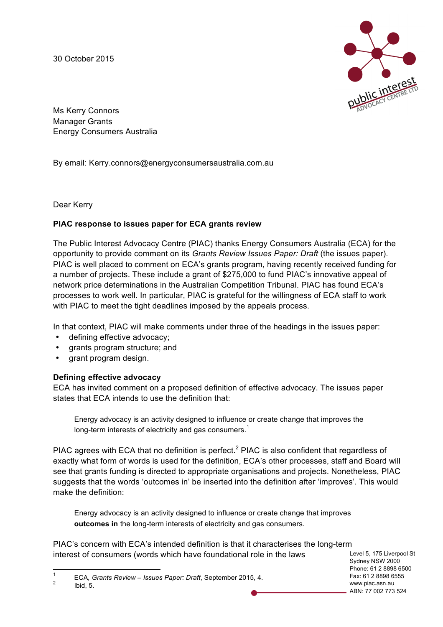30 October 2015



Ms Kerry Connors Manager Grants Energy Consumers Australia

By email: Kerry.connors@energyconsumersaustralia.com.au

Dear Kerry

# **PIAC response to issues paper for ECA grants review**

The Public Interest Advocacy Centre (PIAC) thanks Energy Consumers Australia (ECA) for the opportunity to provide comment on its *Grants Review Issues Paper: Draft* (the issues paper). PIAC is well placed to comment on ECA's grants program, having recently received funding for a number of projects. These include a grant of \$275,000 to fund PIAC's innovative appeal of network price determinations in the Australian Competition Tribunal. PIAC has found ECA's processes to work well. In particular, PIAC is grateful for the willingness of ECA staff to work with PIAC to meet the tight deadlines imposed by the appeals process.

In that context, PIAC will make comments under three of the headings in the issues paper:

- defining effective advocacy;
- grants program structure; and
- grant program design.

# **Defining effective advocacy**

ECA has invited comment on a proposed definition of effective advocacy. The issues paper states that ECA intends to use the definition that:

Energy advocacy is an activity designed to influence or create change that improves the long-term interests of electricity and gas consumers. $<sup>1</sup>$ </sup>

PIAC agrees with ECA that no definition is perfect.<sup>2</sup> PIAC is also confident that regardless of exactly what form of words is used for the definition, ECA's other processes, staff and Board will see that grants funding is directed to appropriate organisations and projects. Nonetheless, PIAC suggests that the words 'outcomes in' be inserted into the definition after 'improves'. This would make the definition:

Energy advocacy is an activity designed to influence or create change that improves **outcomes in** the long-term interests of electricity and gas consumers.

PIAC's concern with ECA's intended definition is that it characterises the long-term interest of consumers (words which have foundational role in the laws

Level 5, 175 Liverpool St Sydney NSW 2000 Phone: 61 2 8898 6500 Fax: 61 2 8898 6555 www.piac.asn.au ABN: 77 002 773 524

<sup>1</sup> ECA*, Grants Review – Issues Paper: Draft*, September 2015, 4. <sup>2</sup> Ibid, 5.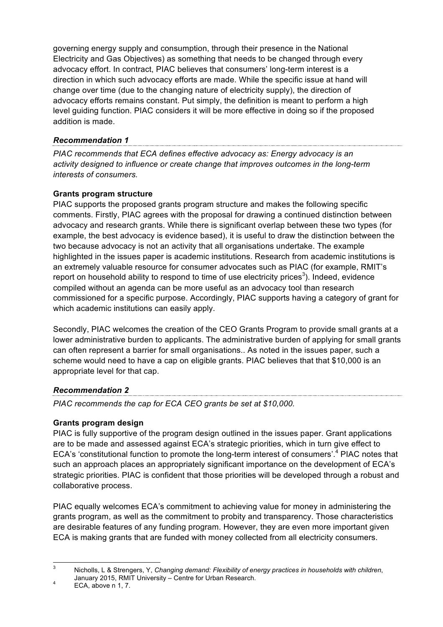governing energy supply and consumption, through their presence in the National Electricity and Gas Objectives) as something that needs to be changed through every advocacy effort. In contract, PIAC believes that consumers' long-term interest is a direction in which such advocacy efforts are made. While the specific issue at hand will change over time (due to the changing nature of electricity supply), the direction of advocacy efforts remains constant. Put simply, the definition is meant to perform a high level guiding function. PIAC considers it will be more effective in doing so if the proposed addition is made.

# *Recommendation 1*

*PIAC recommends that ECA defines effective advocacy as: Energy advocacy is an activity designed to influence or create change that improves outcomes in the long-term interests of consumers.* 

### **Grants program structure**

PIAC supports the proposed grants program structure and makes the following specific comments. Firstly, PIAC agrees with the proposal for drawing a continued distinction between advocacy and research grants. While there is significant overlap between these two types (for example, the best advocacy is evidence based), it is useful to draw the distinction between the two because advocacy is not an activity that all organisations undertake. The example highlighted in the issues paper is academic institutions. Research from academic institutions is an extremely valuable resource for consumer advocates such as PIAC (for example, RMIT's report on household ability to respond to time of use electricity prices<sup>3</sup>). Indeed, evidence compiled without an agenda can be more useful as an advocacy tool than research commissioned for a specific purpose. Accordingly, PIAC supports having a category of grant for which academic institutions can easily apply.

Secondly, PIAC welcomes the creation of the CEO Grants Program to provide small grants at a lower administrative burden to applicants. The administrative burden of applying for small grants can often represent a barrier for small organisations.. As noted in the issues paper, such a scheme would need to have a cap on eligible grants. PIAC believes that that \$10,000 is an appropriate level for that cap.

*Recommendation 2 PIAC recommends the cap for ECA CEO grants be set at \$10,000.*

# **Grants program design**

PIAC is fully supportive of the program design outlined in the issues paper. Grant applications are to be made and assessed against ECA's strategic priorities, which in turn give effect to ECA's 'constitutional function to promote the long-term interest of consumers'.<sup>4</sup> PIAC notes that such an approach places an appropriately significant importance on the development of ECA's strategic priorities. PIAC is confident that those priorities will be developed through a robust and collaborative process.

PIAC equally welcomes ECA's commitment to achieving value for money in administering the grants program, as well as the commitment to probity and transparency. Those characteristics are desirable features of any funding program. However, they are even more important given ECA is making grants that are funded with money collected from all electricity consumers.

 <sup>3</sup> Nicholls, L & Strengers, Y, *Changing demand: Flexibility of energy practices in households with children*, January 2015, RMIT University – Centre for Urban Research.<br>
ECA, above n 1, 7.